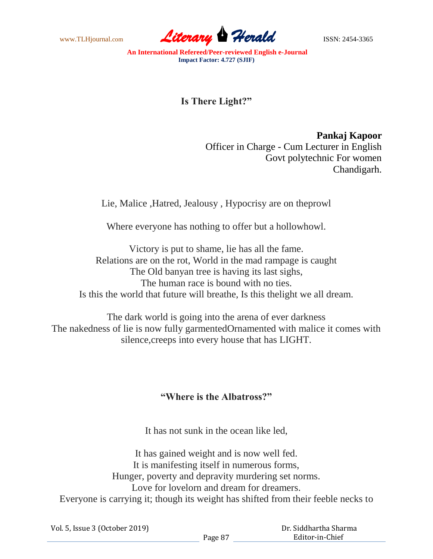www.TLHjournal.com **Literary Herald ISSN: 2454-3365** 

**An International Refereed/Peer-reviewed English e-Journal Impact Factor: 4.727 (SJIF)**

**Is There Light?"**

**Pankaj Kapoor** Officer in Charge - Cum Lecturer in English Govt polytechnic For women Chandigarh.

Lie, Malice ,Hatred, Jealousy , Hypocrisy are on theprowl

Where everyone has nothing to offer but a hollowhowl.

Victory is put to shame, lie has all the fame. Relations are on the rot, World in the mad rampage is caught The Old banyan tree is having its last sighs, The human race is bound with no ties. Is this the world that future will breathe, Is this thelight we all dream.

The dark world is going into the arena of ever darkness The nakedness of lie is now fully garmentedOrnamented with malice it comes with silence,creeps into every house that has LIGHT.

## **"Where is the Albatross?"**

It has not sunk in the ocean like led,

It has gained weight and is now well fed. It is manifesting itself in numerous forms, Hunger, poverty and depravity murdering set norms. Love for lovelorn and dream for dreamers. Everyone is carrying it; though its weight has shifted from their feeble necks to

Vol. 5, Issue 3 (October 2019)

 Dr. Siddhartha Sharma Editor-in-Chief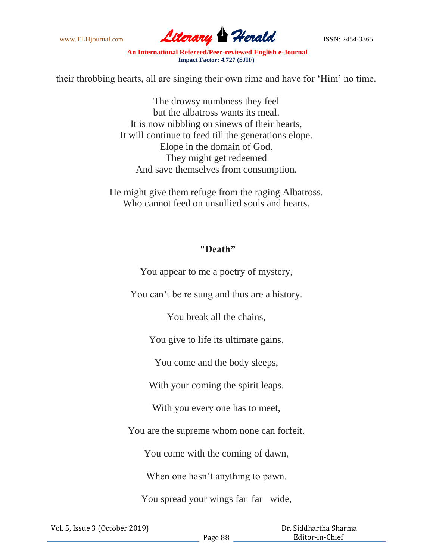

**An International Refereed/Peer-reviewed English e-Journal Impact Factor: 4.727 (SJIF)**

their throbbing hearts, all are singing their own rime and have for 'Him' no time.

The drowsy numbness they feel but the albatross wants its meal. It is now nibbling on sinews of their hearts, It will continue to feed till the generations elope. Elope in the domain of God. They might get redeemed And save themselves from consumption.

He might give them refuge from the raging Albatross. Who cannot feed on unsullied souls and hearts.

## **"Death"**

You appear to me a poetry of mystery,

You can't be re sung and thus are a history.

You break all the chains,

You give to life its ultimate gains.

You come and the body sleeps,

With your coming the spirit leaps.

With you every one has to meet,

You are the supreme whom none can forfeit.

You come with the coming of dawn,

When one hasn't anything to pawn.

You spread your wings far far wide,